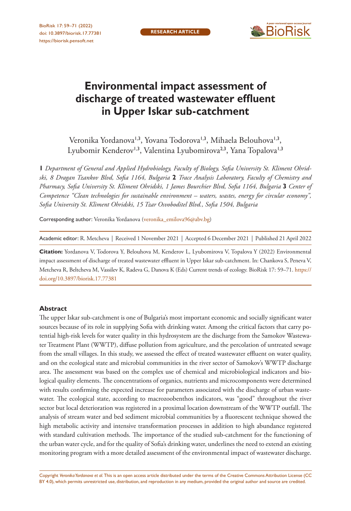

# **Environmental impact assessment of discharge of treated wastewater effluent in Upper Iskar sub-catchment**

Veronika Yordanova<sup>1,3</sup>, Yovana Todorova<sup>1,3</sup>, Mihaela Belouhova<sup>1,3</sup>, Lyubomir Kenderov<sup>1,3</sup>, Valentina Lyubomirova<sup>2,3</sup>, Yana Topalova<sup>1,3</sup>

**1** *Department of General and Applied Hydrobiology, Faculty of Biology, Sofia University St. Kliment Ohridski, 8 Dragan Tzankov Blvd, Sofia 1164, Bulgaria* **2** *Trace Analysis Laboratory, Faculty of Chemistry and Pharmacy, Sofia University St. Kliment Ohridski, 1 James Bourchier Blvd, Sofia 1164, Bulgaria* **3** *Center of Competence "Clean technologies for sustainable environment – waters, wastes, energy for circular economy", Sofia University St. Kliment Ohridski, 15 Tzar Osvoboditel Blvd., Sofia 1504, Bulgaria*

Corresponding author: Veronika Yordanova (veronika emilova96@abv.bg)

Academic editor: R. Metcheva | Received 1 November 2021 | Accepted 6 December 2021 | Published 21 April 2022

**Citation:** Yordanova V, Todorova Y, Belouhova M, Kenderov L, Lyubomirova V, Topalova Y (2022) Environmental impact assessment of discharge of treated wastewater effluent in Upper Iskar sub-catchment. In: Chankova S, Peneva V, Metcheva R, Beltcheva M, Vassilev K, Radeva G, Danova K (Eds) Current trends of ecology. BioRisk 17: 59–71. [https://](https://doi.org/%18) [doi.org/10.3897/biorisk.17.77381](https://doi.org/%18)

#### **Abstract**

The upper Iskar sub-catchment is one of Bulgaria's most important economic and socially significant water sources because of its role in supplying Sofia with drinking water. Among the critical factors that carry potential high-risk levels for water quality in this hydrosystem are the discharge from the Samokov Wastewater Treatment Plant (WWTP), diffuse pollution from agriculture, and the percolation of untreated sewage from the small villages. In this study, we assessed the effect of treated wastewater effluent on water quality, and on the ecological state and microbial communities in the river sector of Samokov's WWTP discharge area. The assessment was based on the complex use of chemical and microbiological indicators and biological quality elements. The concentrations of organics, nutrients and microcomponents were determined with results confirming the expected increase for parameters associated with the discharge of urban wastewater. The ecological state, according to macrozoobenthos indicators, was "good" throughout the river sector but local deterioration was registered in a proximal location downstream of the WWTP outfall. The analysis of stream water and bed sediment microbial communities by a fluorescent technique showed the high metabolic activity and intensive transformation processes in addition to high abundance registered with standard cultivation methods. The importance of the studied sub-catchment for the functioning of the urban water cycle, and for the quality of Sofia's drinking water, underlines the need to extend an existing monitoring program with a more detailed assessment of the environmental impact of wastewater discharge.

Copyright *Veronika Yordanova et al.* This is an open access article distributed under the terms of the [Creative Commons Attribution License \(CC](http://creativecommons.org/licenses/by/4.0/)  [BY 4.0\)](http://creativecommons.org/licenses/by/4.0/), which permits unrestricted use, distribution, and reproduction in any medium, provided the original author and source are credited.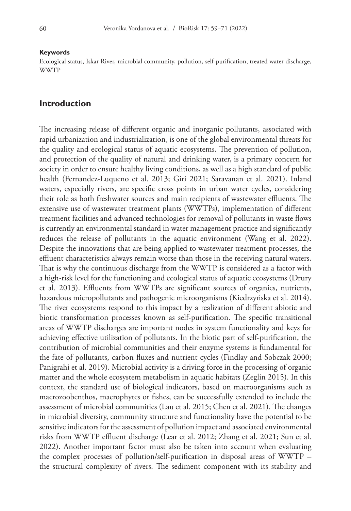#### **Keywords**

Ecological status, Iskar River, microbial community, pollution, self-purification, treated water discharge, WWTP

## **Introduction**

The increasing release of different organic and inorganic pollutants, associated with rapid urbanization and industrialization, is one of the global environmental threats for the quality and ecological status of aquatic ecosystems. The prevention of pollution, and protection of the quality of natural and drinking water, is a primary concern for society in order to ensure healthy living conditions, as well as a high standard of public health (Fernandez-Luqueno et al. 2013; Giri 2021; Saravanan et al. 2021). Inland waters, especially rivers, are specific cross points in urban water cycles, considering their role as both freshwater sources and main recipients of wastewater effluents. The extensive use of wastewater treatment plants (WWTPs), implementation of different treatment facilities and advanced technologies for removal of pollutants in waste flows is currently an environmental standard in water management practice and significantly reduces the release of pollutants in the aquatic environment (Wang et al. 2022). Despite the innovations that are being applied to wastewater treatment processes, the effluent characteristics always remain worse than those in the receiving natural waters. That is why the continuous discharge from the WWTP is considered as a factor with a high-risk level for the functioning and ecological status of aquatic ecosystems (Drury et al. 2013). Effluents from WWTPs are significant sources of organics, nutrients, hazardous micropollutants and pathogenic microorganisms (Kiedrzyńska et al. 2014). The river ecosystems respond to this impact by a realization of different abiotic and biotic transformation processes known as self-purification. The specific transitional areas of WWTP discharges are important nodes in system functionality and keys for achieving effective utilization of pollutants. In the biotic part of self-purification, the contribution of microbial communities and their enzyme systems is fundamental for the fate of pollutants, carbon fluxes and nutrient cycles (Findlay and Sobczak 2000; Panigrahi et al. 2019). Microbial activity is a driving force in the processing of organic matter and the whole ecosystem metabolism in aquatic habitats (Zeglin 2015). In this context, the standard use of biological indicators, based on macroorganisms such as macrozoobenthos, macrophytes or fishes, can be successfully extended to include the assessment of microbial communities (Lau et al. 2015; Chen et al. 2021). The changes in microbial diversity, community structure and functionality have the potential to be sensitive indicators for the assessment of pollution impact and associated environmental risks from WWTP effluent discharge (Lear et al. 2012; Zhang et al. 2021; Sun et al. 2022). Another important factor must also be taken into account when evaluating the complex processes of pollution/self-purification in disposal areas of WWTP – the structural complexity of rivers. The sediment component with its stability and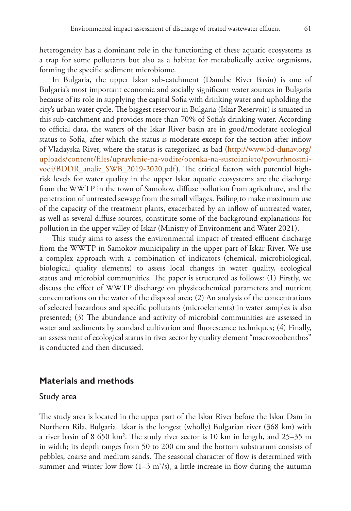heterogeneity has a dominant role in the functioning of these aquatic ecosystems as a trap for some pollutants but also as a habitat for metabolically active organisms, forming the specific sediment microbiome.

In Bulgaria, the upper Iskar sub-catchment (Danube River Basin) is one of Bulgaria's most important economic and socially significant water sources in Bulgaria because of its role in supplying the capital Sofia with drinking water and upholding the city's urban water cycle. The biggest reservoir in Bulgaria (Iskar Reservoir) is situated in this sub-catchment and provides more than 70% of Sofia's drinking water. According to official data, the waters of the Iskar River basin are in good/moderate ecological status to Sofia, after which the status is moderate except for the section after inflow of Vladayska River, where the status is categorized as bad [\(http://www.bd-dunav.org/](http://www.bd-dunav.org/uploads/content/files/upravlenie-na-vodite/ocenka-na-sustoianieto/povurhnostni-vodi/BDDR_analiz_SWB_2019-2020.pdf) [uploads/content/files/upravlenie-na-vodite/ocenka-na-sustoianieto/povurhnostni](http://www.bd-dunav.org/uploads/content/files/upravlenie-na-vodite/ocenka-na-sustoianieto/povurhnostni-vodi/BDDR_analiz_SWB_2019-2020.pdf)[vodi/BDDR\\_analiz\\_SWB\\_2019-2020.pdf\)](http://www.bd-dunav.org/uploads/content/files/upravlenie-na-vodite/ocenka-na-sustoianieto/povurhnostni-vodi/BDDR_analiz_SWB_2019-2020.pdf). The critical factors with potential highrisk levels for water quality in the upper Iskar aquatic ecosystems are the discharge from the WWTP in the town of Samokov, diffuse pollution from agriculture, and the penetration of untreated sewage from the small villages. Failing to make maximum use of the capacity of the treatment plants, exacerbated by an inflow of untreated water, as well as several diffuse sources, constitute some of the background explanations for pollution in the upper valley of Iskar (Ministry of Environment and Water 2021).

This study aims to assess the environmental impact of treated effluent discharge from the WWTP in Samokov municipality in the upper part of Iskar River. We use a complex approach with a combination of indicators (chemical, microbiological, biological quality elements) to assess local changes in water quality, ecological status and microbial communities. The paper is structured as follows: (1) Firstly, we discuss the effect of WWTP discharge on physicochemical parameters and nutrient concentrations on the water of the disposal area; (2) An analysis of the concentrations of selected hazardous and specific pollutants (microelements) in water samples is also presented; (3) The abundance and activity of microbial communities are assessed in water and sediments by standard cultivation and fluorescence techniques; (4) Finally, an assessment of ecological status in river sector by quality element "macrozoobenthos" is conducted and then discussed.

## **Materials and methods**

#### Study area

The study area is located in the upper part of the Iskar River before the Iskar Dam in Northern Rila, Bulgaria. Iskar is the longest (wholly) Bulgarian river (368 km) with a river basin of 8 650 km2 . The study river sector is 10 km in length, and 25–35 m in width; its depth ranges from 50 to 200 cm and the bottom substratum consists of pebbles, coarse and medium sands. The seasonal character of flow is determined with summer and winter low flow  $(1-3 \text{ m}^3/\text{s})$ , a little increase in flow during the autumn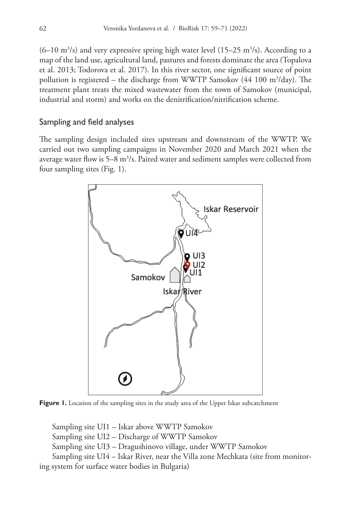$(6-10 \text{ m}^3/\text{s})$  and very expressive spring high water level  $(15-25 \text{ m}^3/\text{s})$ . According to a map of the land use, agricultural land, pastures and forests dominate the area (Topalova et al. 2013; Todorova et al. 2017). In this river sector, one significant source of point pollution is registered – the discharge from WWTP Samokov (44 100 m<sup>3</sup>/day). The treatment plant treats the mixed wastewater from the town of Samokov (municipal, industrial and storm) and works on the denitrification/nitrification scheme.

## Sampling and field analyses

The sampling design included sites upstream and downstream of the WWTP. We carried out two sampling campaigns in November 2020 and March 2021 when the average water flow is 5–8  $\mathrm{m}^3$ /s. Paired water and sediment samples were collected from four sampling sites (Fig. 1).



Figure 1. Location of the sampling sites in the study area of the Upper Iskar subcatchment

Sampling site UI1 – Iskar above WWTP Samokov

Sampling site UI2 – Discharge of WWTP Samokov

Sampling site UI3 – Dragushinovo village, under WWTP Samokov

Sampling site UI4 – Iskar River, near the Villa zone Mechkata (site from monitoring system for surface water bodies in Bulgaria)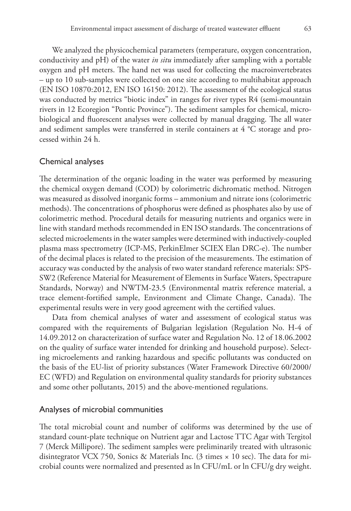We analyzed the physicochemical parameters (temperature, oxygen concentration, conductivity and pH) of the water *in situ* immediately after sampling with a portable oxygen and pH meters. The hand net was used for collecting the macroinvertebrates – up to 10 sub-samples were collected on one site according to multihabitat approach (EN ISO 10870:2012, EN ISO 16150: 2012). The assessment of the ecological status was conducted by metrics "biotic index" in ranges for river types R4 (semi-mountain rivers in 12 Ecoregion "Pontic Province"). The sediment samples for chemical, microbiological and fluorescent analyses were collected by manual dragging. The all water and sediment samples were transferred in sterile containers at 4 °C storage and processed within 24 h.

#### Chemical analyses

The determination of the organic loading in the water was performed by measuring the chemical oxygen demand (COD) by colorimetric dichromatic method. Nitrogen was measured as dissolved inorganic forms – ammonium and nitrate ions (colorimetric methods). The concentrations of phosphorus were defined as phosphates also by use of colorimetric method. Procedural details for measuring nutrients and organics were in line with standard methods recommended in EN ISO standards. The concentrations of selected microelements in the water samples were determined with inductively-coupled plasma mass spectrometry (ICP-MS, PerkinElmer SCIEX Elan DRC-e). The number of the decimal places is related to the precision of the measurements. The estimation of accuracy was conducted by the analysis of two water standard reference materials: SPS-SW2 (Reference Material for Measurement of Elements in Surface Waters, Spectrapure Standards, Norway) and NWTM-23.5 (Environmental matrix reference material, a trace element-fortified sample, Environment and Climate Change, Canada). The experimental results were in very good agreement with the certified values.

Data from chemical analyses of water and assessment of ecological status was compared with the requirements of Bulgarian legislation (Regulation No. H-4 of 14.09.2012 on characterization of surface water and Regulation No. 12 of 18.06.2002 on the quality of surface water intended for drinking and household purpose). Selecting microelements and ranking hazardous and specific pollutants was conducted on the basis of the EU-list of priority substances (Water Framework Directive 60/2000/ EC (WFD) and Regulation on environmental quality standards for priority substances and some other pollutants, 2015) and the above-mentioned regulations.

#### Analyses of microbial communities

The total microbial count and number of coliforms was determined by the use of standard count-plate technique on Nutrient agar and Lactose TTC Agar with Tergitol 7 (Merck Millipore). The sediment samples were preliminarily treated with ultrasonic disintegrator VCX 750, Sonics & Materials Inc. (3 times × 10 sec). The data for microbial counts were normalized and presented as ln CFU/mL or ln CFU/g dry weight.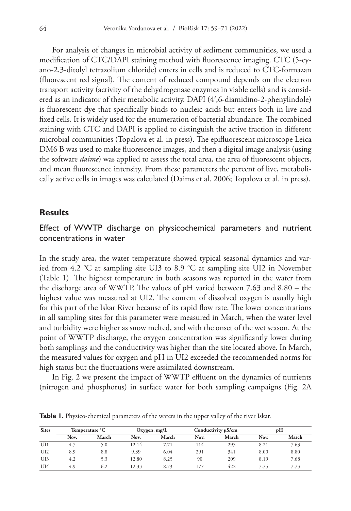For analysis of changes in microbial activity of sediment communities, we used a modification of CTC/DAPI staining method with fluorescence imaging. CTC (5-cyano-2,3-ditolyl tetrazolium chloride) enters in cells and is reduced to CTC-formazan (fluorescent red signal). The content of reduced compound depends on the electron transport activity (activity of the dehydrogenase enzymes in viable cells) and is considered as an indicator of their metabolic activity. DAPI (4′,6-diamidino-2-phenylindole) is fluorescent dye that specifically binds to nucleic acids but enters both in live and fixed cells. It is widely used for the enumeration of bacterial abundance. The combined staining with CTC and DAPI is applied to distinguish the active fraction in different microbial communities (Topalova et al. in press). The epifluorescent microscope Leica DM6 B was used to make fluorescence images, and then a digital image analysis (using the software *daime*) was applied to assess the total area, the area of fluorescent objects, and mean fluorescence intensity. From these parameters the percent of live, metabolically active cells in images was calculated (Daims et al. 2006; Topalova et al. in press).

#### **Results**

## Effect of WWTP discharge on physicochemical parameters and nutrient concentrations in water

In the study area, the water temperature showed typical seasonal dynamics and varied from 4.2 °C at sampling site UI3 to 8.9 °C at sampling site UI2 in November (Table 1). The highest temperature in both seasons was reported in the water from the discharge area of WWTP. The values of pH varied between 7.63 and 8.80 – the highest value was measured at UI2. The content of dissolved oxygen is usually high for this part of the Iskar River because of its rapid flow rate. The lower concentrations in all sampling sites for this parameter were measured in March, when the water level and turbidity were higher as snow melted, and with the onset of the wet season. At the point of WWTP discharge, the oxygen concentration was significantly lower during both samplings and the conductivity was higher than the site located above. In March, the measured values for oxygen and pH in UI2 exceeded the recommended norms for high status but the fluctuations were assimilated downstream.

In Fig. 2 we present the impact of WWTP effluent on the dynamics of nutrients (nitrogen and phosphorus) in surface water for both sampling campaigns (Fig. 2A

| <b>Sites</b> | Temperature °C |       | Oxygen, mg/L |       | Conductivity uS/cm |       | pН   |       |
|--------------|----------------|-------|--------------|-------|--------------------|-------|------|-------|
|              | Nov.           | March | Nov.         | March | Nov.               | March | Nov. | March |
| UI1          | 4.7            | 5.0   | 12.14        |       | 114                | 295   | 8.21 | 7.63  |
| UI2          | 8.9            | 8.8   | 9.39         | 6.04  | 291                | 341   | 8.00 | 8.80  |
| UI3          | 4.2            | 5.3   | 12.80        | 8.25  | 90                 | 209   | 8.19 | 7.68  |
| UI4          | 4.9            | 6.2   | 12.33        | 8.73  |                    | 422   | 7.75 | 7.73  |

**Table 1.** Physico-chemical parameters of the waters in the upper valley of the river Iskar.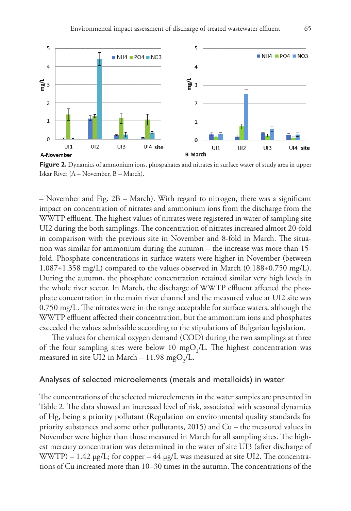

**Figure 2.** Dynamics of ammonium ions, phospahates and nitrates in surface water of study area in upper Iskar River (A – November, B – March).

– November and Fig. 2B – March). With regard to nitrogen, there was a significant impact on concentration of nitrates and ammonium ions from the discharge from the WWTP effluent. The highest values of nitrates were registered in water of sampling site UI2 during the both samplings. The concentration of nitrates increased almost 20-fold in comparison with the previous site in November and 8-fold in March. The situation was similar for ammonium during the autumn – the increase was more than 15 fold. Phosphate concentrations in surface waters were higher in November (between 1.087÷1.358 mg/L) compared to the values observed in March (0.188÷0.750 mg/L). During the autumn, the phosphate concentration retained similar very high levels in the whole river sector. In March, the discharge of WWTP effluent affected the phosphate concentration in the main river channel and the measured value at UI2 site was 0.750 mg/L. The nitrates were in the range acceptable for surface waters, although the WWTP effluent affected their concentration, but the ammonium ions and phosphates exceeded the values admissible according to the stipulations of Bulgarian legislation.

The values for chemical oxygen demand (COD) during the two samplings at three of the four sampling sites were below 10 mgO<sub>2</sub>/L. The highest concentration was measured in site UI2 in March – 11.98 mgO<sub>2</sub>/L.

#### Analyses of selected microelements (metals and metalloids) in water

The concentrations of the selected microelements in the water samples are presented in Table 2. The data showed an increased level of risk, associated with seasonal dynamics of Hg, being a priority pollutant (Regulation on environmental quality standards for priority substances and some other pollutants, 2015) and Cu – the measured values in November were higher than those measured in March for all sampling sites. The highest mercury concentration was determined in the water of site UI3 (after discharge of  $WWTP$ ) – 1.42  $\mu$ g/L; for copper – 44  $\mu$ g/L was measured at site UI2. The concentrations of Cu increased more than 10–30 times in the autumn. The concentrations of the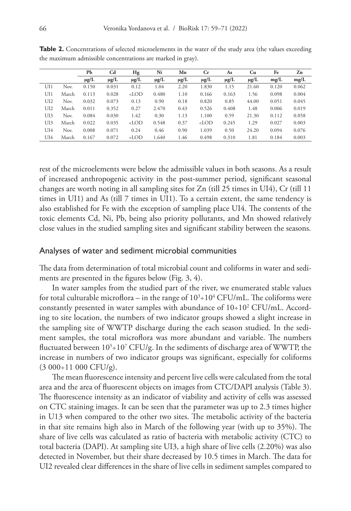|     |       | PЬ        | C <sub>d</sub> | Hg            | Ni        | Mn        | $_{\rm Cr}$   | As        | Cu        | Fe    | Zn    |
|-----|-------|-----------|----------------|---------------|-----------|-----------|---------------|-----------|-----------|-------|-------|
|     |       | $\mu$ g/L | $\mu$ g/L      | $\mu$ g/L     | $\mu$ g/L | $\mu$ g/L | $\mu$ g/L     | $\mu$ g/L | $\mu$ g/L | mg/L  | mg/L  |
| UI1 | Nov.  | 0.150     | 0.031          | 0.12          | 1.04      | 2.20      | 1.830         | 1.15      | 21.60     | 0.120 | 0.062 |
| U11 | March | 0.113     | 0.028          | $\langle$ LOD | 0.480     | 1.10      | 0.166         | 0.163     | 1.56      | 0.098 | 0.004 |
| UI2 | Nov.  | 0.032     | 0.073          | 0.13          | 0.90      | 0.18      | 0.820         | 0.85      | 44.00     | 0.051 | 0.045 |
| UI2 | March | 0.011     | 0.352          | 0.27          | 2.470     | 0.43      | 0.526         | 0.408     | 1.48      | 0.006 | 0.019 |
| UI3 | Nov.  | 0.084     | 0.030          | 1.42          | 0.30      | 1.13      | 1.100         | 0.59      | 21.30     | 0.112 | 0.058 |
| UI3 | March | 0.022     | 0.035          | $\langle$ LOD | 0.548     | 0.37      | $\langle$ LOD | 0.245     | 1.29      | 0.027 | 0.003 |
| UI4 | Nov.  | 0.008     | 0.071          | 0.24          | 0.46      | 0.90      | 1.039         | 0.50      | 24.20     | 0.094 | 0.076 |
| UI4 | March | 0.167     | 0.072          | $\langle$ LOD | 1.640     | 1.46      | 0.498         | 0.310     | 1.81      | 0.184 | 0.003 |

**Table 2.** Concentrations of selected microelements in the water of the study area (the values exceeding the maximum admissible concentrations are marked in gray).

rest of the microelements were below the admissible values in both seasons. As a result of increased anthropogenic activity in the post-summer period, significant seasonal changes are worth noting in all sampling sites for Zn (till 25 times in UI4), Cr (till 11 times in UI1) and As (till 7 times in UI1). To a certain extent, the same tendency is also established for Fe with the exception of sampling place UI4. The contents of the toxic elements Cd, Ni, Pb, being also priority pollutants, and Mn showed relatively close values in the studied sampling sites and significant stability between the seasons.

### Analyses of water and sediment microbial communities

The data from determination of total microbial count and coliforms in water and sediments are presented in the figures below (Fig. 3, 4).

In water samples from the studied part of the river, we enumerated stable values for total culturable microflora – in the range of  $10^3\div 10^4$  CFU/mL. The coliforms were constantly presented in water samples with abundance of  $10\div10^2$  CFU/mL. According to site location, the numbers of two indicator groups showed a slight increase in the sampling site of WWTP discharge during the each season studied. In the sediment samples, the total microflora was more abundant and variable. The numbers fluctuated between  $10^5 \div 10^7$  CFU/g. In the sediments of discharge area of WWTP, the increase in numbers of two indicator groups was significant, especially for coliforms  $(3\ 000+11\ 000\ \text{CFU/g}).$ 

The mean fluorescence intensity and percent live cells were calculated from the total area and the area of fluorescent objects on images from CTC/DAPI analysis (Table 3). The fluorescence intensity as an indicator of viability and activity of cells was assessed on CTC staining images. It can be seen that the parameter was up to 2.3 times higher in U13 when compared to the other two sites. The metabolic activity of the bacteria in that site remains high also in March of the following year (with up to 35%). The share of live cells was calculated as ratio of bacteria with metabolic activity (CTC) to total bacteria (DAPI). At sampling site UI3, a high share of live cells (2.20%) was also detected in November, but their share decreased by 10.5 times in March. The data for UI2 revealed clear differences in the share of live cells in sediment samples compared to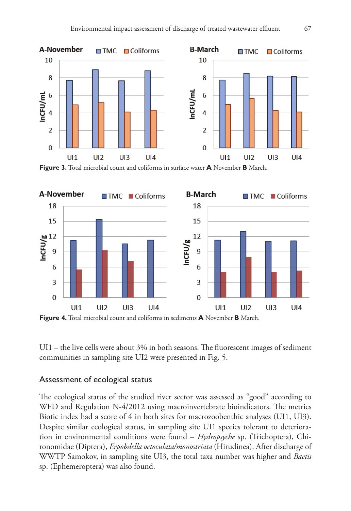

**Figure 3.** Total microbial count and coliforms in surface water **A** November **B** March.



**Figure 4.** Total microbial count and coliforms in sediments **A** November **B** March.

UI1 – the live cells were about 3% in both seasons. The fluorescent images of sediment communities in sampling site UI2 were presented in Fig. 5.

## Assessment of ecological status

The ecological status of the studied river sector was assessed as "good" according to WFD and Regulation N-4/2012 using macroinvertebrate bioindicators. The metrics Biotic index had a score of 4 in both sites for macrozoobenthic analyses (UI1, UI3). Despite similar ecological status, in sampling site UI1 species tolerant to deterioration in environmental conditions were found – *Hydropsyche* sp. (Trichoptera), Chironomidae (Diptera), *Erpobdella octoculata/monostriata* (Hirudinea). After discharge of WWTP Samokov, in sampling site UI3, the total taxa number was higher and *Baetis* sp. (Ephemeroptera) was also found.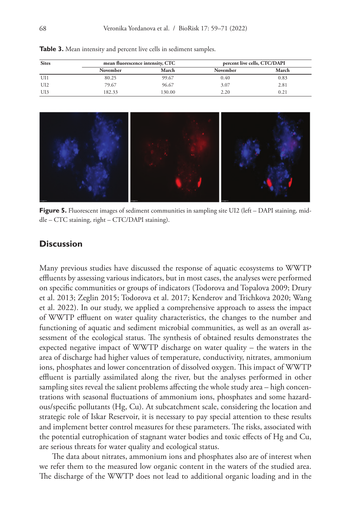| <b>Sites</b> | mean fluorescence intensity, CTC |        | percent live cells, CTC/DAPI |       |  |
|--------------|----------------------------------|--------|------------------------------|-------|--|
|              | November                         | March  | November                     | March |  |
|              | 80.25                            | 99.67  | 0.40                         | 0.83  |  |
| UI2          | 79.67                            | 96.67  | 3.07                         | 2.81  |  |
| UI3          | 182.33                           | 130.00 | 2.20                         | 0.21  |  |

**Table 3.** Mean intensity and percent live cells in sediment samples.



**Figure 5.** Fluorescent images of sediment communities in sampling site UI2 (left – DAPI staining, middle – CTC staining, right – CTC/DAPI staining).

## **Discussion**

Many previous studies have discussed the response of aquatic ecosystems to WWTP effluents by assessing various indicators, but in most cases, the analyses were performed on specific communities or groups of indicators (Todorova and Topalova 2009; Drury et al. 2013; Zeglin 2015; Todorova et al. 2017; Kenderov and Trichkova 2020; Wang et al. 2022). In our study, we applied a comprehensive approach to assess the impact of WWTP effluent on water quality characteristics, the changes to the number and functioning of aquatic and sediment microbial communities, as well as an overall assessment of the ecological status. The synthesis of obtained results demonstrates the expected negative impact of WWTP discharge on water quality – the waters in the area of discharge had higher values of temperature, conductivity, nitrates, ammonium ions, phosphates and lower concentration of dissolved oxygen. This impact of WWTP effluent is partially assimilated along the river, but the analyses performed in other sampling sites reveal the salient problems affecting the whole study area – high concentrations with seasonal fluctuations of ammonium ions, phosphates and some hazardous/specific pollutants (Hg, Cu). At subcatchment scale, considering the location and strategic role of Iskar Reservoir, it is necessary to pay special attention to these results and implement better control measures for these parameters. The risks, associated with the potential eutrophication of stagnant water bodies and toxic effects of Hg and Cu, are serious threats for water quality and ecological status.

The data about nitrates, ammonium ions and phosphates also are of interest when we refer them to the measured low organic content in the waters of the studied area. The discharge of the WWTP does not lead to additional organic loading and in the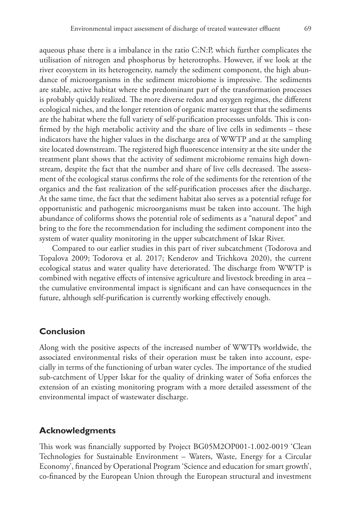aqueous phase there is a imbalance in the ratio C:N:P, which further complicates the utilisation of nitrogen and phosphorus by heterotrophs. However, if we look at the river ecosystem in its heterogeneity, namely the sediment component, the high abundance of microorganisms in the sediment microbiome is impressive. The sediments are stable, active habitat where the predominant part of the transformation processes is probably quickly realized. The more diverse redox and oxygen regimes, the different ecological niches, and the longer retention of organic matter suggest that the sediments are the habitat where the full variety of self-purification processes unfolds. This is confirmed by the high metabolic activity and the share of live cells in sediments – these indicators have the higher values in the discharge area of WWTP and at the sampling site located downstream. The registered high fluorescence intensity at the site under the treatment plant shows that the activity of sediment microbiome remains high downstream, despite the fact that the number and share of live cells decreased. The assessment of the ecological status confirms the role of the sediments for the retention of the organics and the fast realization of the self-purification processes after the discharge. At the same time, the fact that the sediment habitat also serves as a potential refuge for opportunistic and pathogenic microorganisms must be taken into account. The high abundance of coliforms shows the potential role of sediments as a "natural depot" and bring to the fore the recommendation for including the sediment component into the system of water quality monitoring in the upper subcatchment of Iskar River.

Compared to our earlier studies in this part of river subcatchment (Todorova and Topalova 2009; Todorova et al. 2017; Kenderov and Trichkova 2020), the current ecological status and water quality have deteriorated. The discharge from WWTP is combined with negative effects of intensive agriculture and livestock breeding in area – the cumulative environmental impact is significant and can have consequences in the future, although self-purification is currently working effectively enough.

## **Conclusion**

Along with the positive aspects of the increased number of WWTPs worldwide, the associated environmental risks of their operation must be taken into account, especially in terms of the functioning of urban water cycles. The importance of the studied sub-catchment of Upper Iskar for the quality of drinking water of Sofia enforces the extension of an existing monitoring program with a more detailed assessment of the environmental impact of wastewater discharge.

### **Acknowledgments**

This work was financially supported by Project BG05M2OP001-1.002-0019 'Clean Technologies for Sustainable Environment – Waters, Waste, Energy for a Circular Economy', financed by Operational Program 'Science and education for smart growth', co-financed by the European Union through the European structural and investment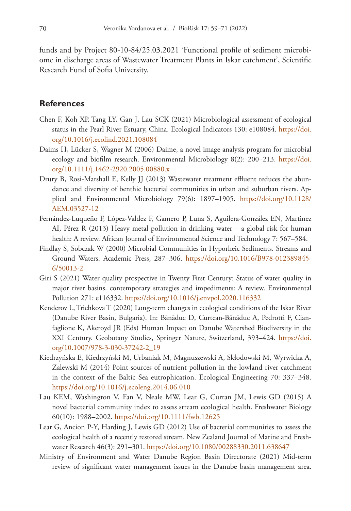funds and by Project 80-10-84/25.03.2021 'Functional profile of sediment microbiome in discharge areas of Wastewater Treatment Plants in Iskar catchment', Scientific Research Fund of Sofia University.

## **References**

- Chen F, Koh XP, Tang LY, Gan J, Lau SCK (2021) Microbiological assessment of ecological status in the Pearl River Estuary, China. Ecological Indicators 130: e108084. [https://doi.](https://doi.org/10.1016/j.ecolind.2021.108084) [org/10.1016/j.ecolind.2021.108084](https://doi.org/10.1016/j.ecolind.2021.108084)
- Daims H, Lücker S, Wagner M (2006) Daime, a novel image analysis program for microbial ecology and biofilm research. Environmental Microbiology 8(2): 200–213. [https://doi.](https://doi.org/10.1111/j.1462-2920.2005.00880.x) [org/10.1111/j.1462-2920.2005.00880.x](https://doi.org/10.1111/j.1462-2920.2005.00880.x)
- Drury B, Rosi-Marshall E, Kelly JJ (2013) Wastewater treatment effluent reduces the abundance and diversity of benthic bacterial communities in urban and suburban rivers. Applied and Environmental Microbiology 79(6): 1897–1905. [https://doi.org/10.1128/](https://doi.org/10.1128/AEM.03527-12) [AEM.03527-12](https://doi.org/10.1128/AEM.03527-12)
- Fernández-Luqueño F, López-Valdez F, Gamero P, Luna S, Aguilera-González EN, Martinez AI, Pérez R (2013) Heavy metal pollution in drinking water – a global risk for human health: A review. African Journal of Environmental Science and Technology 7: 567–584.
- Findlay S, Sobczak W (2000) Microbial Communities in Hyporheic Sediments. Streams and Ground Waters. Academic Press, 287–306. [https://doi.org/10.1016/B978-012389845-](https://doi.org/10.1016/B978-012389845-6/50013-2) [6/50013-2](https://doi.org/10.1016/B978-012389845-6/50013-2)
- Giri S (2021) Water quality prospective in Twenty First Century: Status of water quality in major river basins. contemporary strategies and impediments: A review. Environmental Pollution 271: e116332. <https://doi.org/10.1016/j.envpol.2020.116332>
- Kenderov L, Trichkova T (2020) Long-term changes in ecological conditions of the Iskar River (Danube River Basin, Bulgaria). In: Bănăduc D, Curtean-Bănăduc A, Pedrotti F, Cianfaglione K, Akeroyd JR (Eds) Human Impact on Danube Watershed Biodiversity in the XXI Century. Geobotany Studies, Springer Nature, Switzerland, 393–424. [https://doi.](https://doi.org/10.1007/978-3-030-37242-2_19) [org/10.1007/978-3-030-37242-2\\_19](https://doi.org/10.1007/978-3-030-37242-2_19)
- Kiedrzyńska E, Kiedrzyński M, Urbaniak M, Magnuszewski A, Skłodowski M, Wyrwicka A, Zalewski M (2014) Point sources of nutrient pollution in the lowland river catchment in the context of the Baltic Sea eutrophication. Ecological Engineering 70: 337–348. <https://doi.org/10.1016/j.ecoleng.2014.06.010>
- Lau KEM, Washington V, Fan V, Neale MW, Lear G, Curran JM, Lewis GD (2015) A novel bacterial community index to assess stream ecological health. Freshwater Biology 60(10): 1988–2002. <https://doi.org/10.1111/fwb.12625>
- Lear G, Ancion P-Y, Harding J, Lewis GD (2012) Use of bacterial communities to assess the ecological health of a recently restored stream. New Zealand Journal of Marine and Freshwater Research 46(3): 291–301. <https://doi.org/10.1080/00288330.2011.638647>
- Ministry of Environment and Water Danube Region Basin Directorate (2021) Mid-term review of significant water management issues in the Danube basin management area.